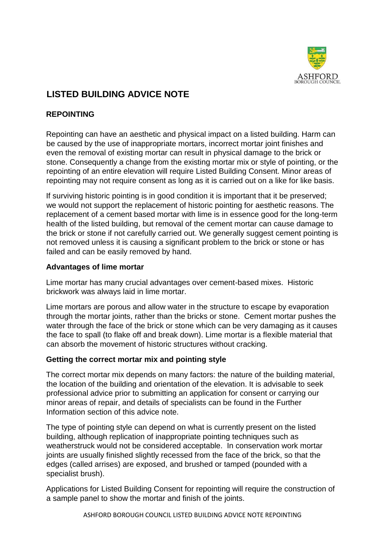

# **LISTED BUILDING ADVICE NOTE**

## **REPOINTING**

Repointing can have an aesthetic and physical impact on a listed building. Harm can be caused by the use of inappropriate mortars, incorrect mortar joint finishes and even the removal of existing mortar can result in physical damage to the brick or stone. Consequently a change from the existing mortar mix or style of pointing, or the repointing of an entire elevation will require Listed Building Consent. Minor areas of repointing may not require consent as long as it is carried out on a like for like basis.

If surviving historic pointing is in good condition it is important that it be preserved; we would not support the replacement of historic pointing for aesthetic reasons. The replacement of a cement based mortar with lime is in essence good for the long-term health of the listed building, but removal of the cement mortar can cause damage to the brick or stone if not carefully carried out. We generally suggest cement pointing is not removed unless it is causing a significant problem to the brick or stone or has failed and can be easily removed by hand.

#### **Advantages of lime mortar**

Lime mortar has many crucial advantages over cement-based mixes. Historic brickwork was always laid in lime mortar.

Lime mortars are porous and allow water in the structure to escape by evaporation through the mortar joints, rather than the bricks or stone. Cement mortar pushes the water through the face of the brick or stone which can be very damaging as it causes the face to spall (to flake off and break down). Lime mortar is a flexible material that can absorb the movement of historic structures without cracking.

### **Getting the correct mortar mix and pointing style**

The correct mortar mix depends on many factors: the nature of the building material, the location of the building and orientation of the elevation. It is advisable to seek professional advice prior to submitting an application for consent or carrying our minor areas of repair, and details of specialists can be found in the Further Information section of this advice note.

The type of pointing style can depend on what is currently present on the listed building, although replication of inappropriate pointing techniques such as weatherstruck would not be considered acceptable. In conservation work mortar joints are usually finished slightly recessed from the face of the brick, so that the edges (called arrises) are exposed, and brushed or tamped (pounded with a specialist brush).

Applications for Listed Building Consent for repointing will require the construction of a sample panel to show the mortar and finish of the joints.